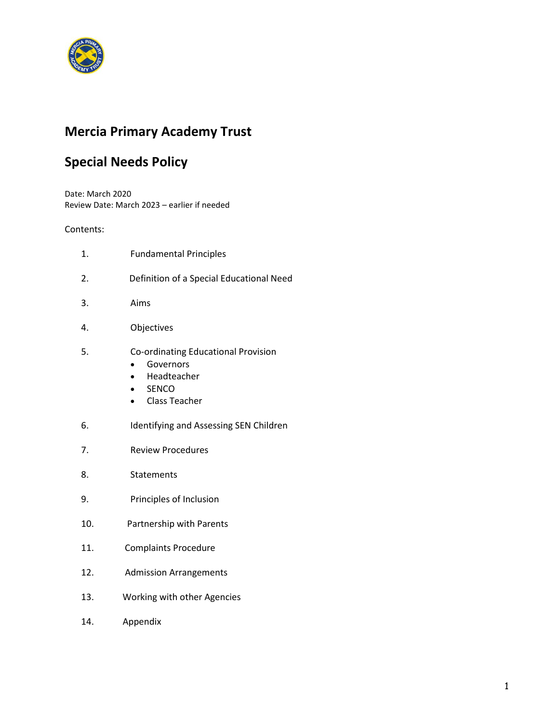

# **Mercia Primary Academy Trust**

# **Special Needs Policy**

Date: March 2020 Review Date: March 2023 – earlier if needed

## Contents:

- 1.Fundamental Principles
- 2. Definition of a Special Educational Need
- 3. Aims
- 4. Objectives
- 5. Co-ordinating Educational Provision
	- **•** Governors
	- Headteacher
	- SENCO
	- Class Teacher
- 6. Identifying and Assessing SEN Children
- 7. Review Procedures
- 8. Statements
- 9. Principles of Inclusion
- 10. Partnership with Parents
- 11. Complaints Procedure
- 12. Admission Arrangements
- 13. Working with other Agencies
- 14. Appendix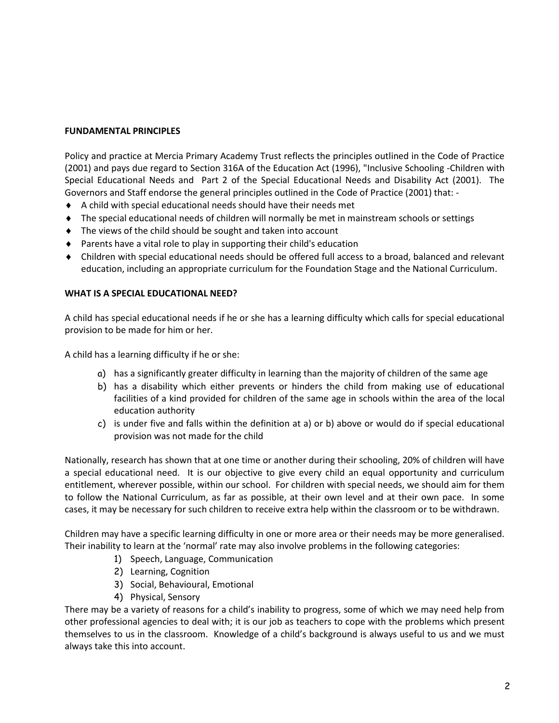## **FUNDAMENTAL PRINCIPLES**

Policy and practice at Mercia Primary Academy Trust reflects the principles outlined in the Code of Practice (2001) and pays due regard to Section 316A of the Education Act (1996), "Inclusive Schooling -Children with Special Educational Needs and Part 2 of the Special Educational Needs and Disability Act (2001). The Governors and Staff endorse the general principles outlined in the Code of Practice (2001) that: -

- A child with special educational needs should have their needs met
- The special educational needs of children will normally be met in mainstream schools or settings
- ◆ The views of the child should be sought and taken into account
- Parents have a vital role to play in supporting their child's education
- Children with special educational needs should be offered full access to a broad, balanced and relevant education, including an appropriate curriculum for the Foundation Stage and the National Curriculum.

### **WHAT IS A SPECIAL EDUCATIONAL NEED?**

A child has special educational needs if he or she has a learning difficulty which calls for special educational provision to be made for him or her.

A child has a learning difficulty if he or she:

- a) has a significantly greater difficulty in learning than the majority of children of the same age
- b) has a disability which either prevents or hinders the child from making use of educational facilities of a kind provided for children of the same age in schools within the area of the local education authority
- c) is under five and falls within the definition at a) or b) above or would do if special educational provision was not made for the child

Nationally, research has shown that at one time or another during their schooling, 20% of children will have a special educational need. It is our objective to give every child an equal opportunity and curriculum entitlement, wherever possible, within our school. For children with special needs, we should aim for them to follow the National Curriculum, as far as possible, at their own level and at their own pace. In some cases, it may be necessary for such children to receive extra help within the classroom or to be withdrawn.

Children may have a specific learning difficulty in one or more area or their needs may be more generalised. Their inability to learn at the 'normal' rate may also involve problems in the following categories:

- 1) Speech, Language, Communication
- 2) Learning, Cognition
- 3) Social, Behavioural, Emotional
- 4) Physical, Sensory

There may be a variety of reasons for a child's inability to progress, some of which we may need help from other professional agencies to deal with; it is our job as teachers to cope with the problems which present themselves to us in the classroom. Knowledge of a child's background is always useful to us and we must always take this into account.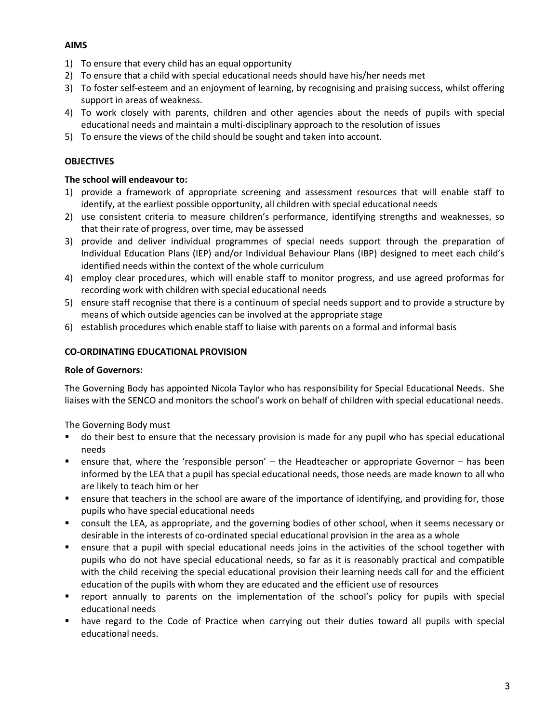# **AIMS**

- 1) To ensure that every child has an equal opportunity
- 2) To ensure that a child with special educational needs should have his/her needs met
- 3) To foster self-esteem and an enjoyment of learning, by recognising and praising success, whilst offering support in areas of weakness.
- 4) To work closely with parents, children and other agencies about the needs of pupils with special educational needs and maintain a multi-disciplinary approach to the resolution of issues
- 5) To ensure the views of the child should be sought and taken into account.

# **OBJECTIVES**

# **The school will endeavour to:**

- 1) provide a framework of appropriate screening and assessment resources that will enable staff to identify, at the earliest possible opportunity, all children with special educational needs
- 2) use consistent criteria to measure children's performance, identifying strengths and weaknesses, so that their rate of progress, over time, may be assessed
- 3) provide and deliver individual programmes of special needs support through the preparation of Individual Education Plans (IEP) and/or Individual Behaviour Plans (IBP) designed to meet each child's identified needs within the context of the whole curriculum
- 4) employ clear procedures, which will enable staff to monitor progress, and use agreed proformas for recording work with children with special educational needs
- 5) ensure staff recognise that there is a continuum of special needs support and to provide a structure by means of which outside agencies can be involved at the appropriate stage
- 6) establish procedures which enable staff to liaise with parents on a formal and informal basis

# **CO-ORDINATING EDUCATIONAL PROVISION**

# **Role of Governors:**

The Governing Body has appointed Nicola Taylor who has responsibility for Special Educational Needs. She liaises with the SENCO and monitors the school's work on behalf of children with special educational needs.

The Governing Body must

- do their best to ensure that the necessary provision is made for any pupil who has special educational needs
- ensure that, where the 'responsible person' the Headteacher or appropriate Governor has been informed by the LEA that a pupil has special educational needs, those needs are made known to all who are likely to teach him or her
- ensure that teachers in the school are aware of the importance of identifying, and providing for, those pupils who have special educational needs
- consult the LEA, as appropriate, and the governing bodies of other school, when it seems necessary or desirable in the interests of co-ordinated special educational provision in the area as a whole
- ensure that a pupil with special educational needs joins in the activities of the school together with pupils who do not have special educational needs, so far as it is reasonably practical and compatible with the child receiving the special educational provision their learning needs call for and the efficient education of the pupils with whom they are educated and the efficient use of resources
- report annually to parents on the implementation of the school's policy for pupils with special educational needs
- have regard to the Code of Practice when carrying out their duties toward all pupils with special educational needs.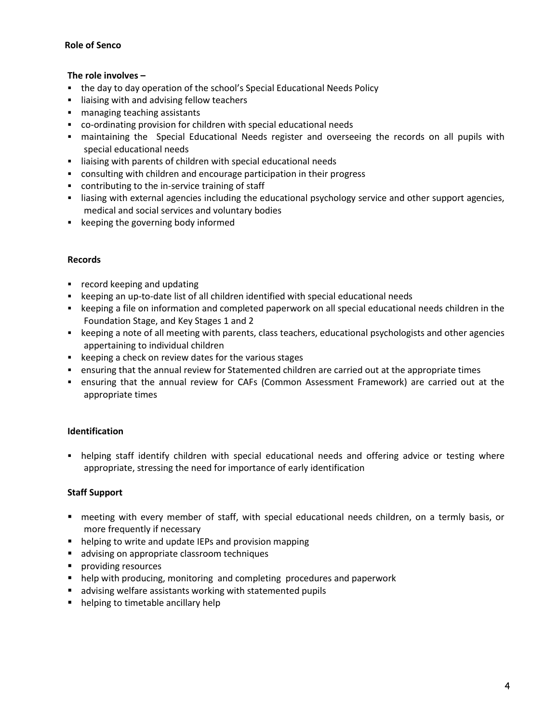## **Role of Senco**

## **The role involves –**

- the day to day operation of the school's Special Educational Needs Policy
- **I** liaising with and advising fellow teachers
- managing teaching assistants
- co-ordinating provision for children with special educational needs
- maintaining the Special Educational Needs register and overseeing the records on all pupils with special educational needs
- liaising with parents of children with special educational needs
- consulting with children and encourage participation in their progress
- contributing to the in-service training of staff
- liasing with external agencies including the educational psychology service and other support agencies, medical and social services and voluntary bodies
- **EXEC** keeping the governing body informed

### **Records**

- **•** record keeping and updating
- keeping an up-to-date list of all children identified with special educational needs
- **EXECT** beeping a file on information and completed paperwork on all special educational needs children in the Foundation Stage, and Key Stages 1 and 2
- keeping a note of all meeting with parents, class teachers, educational psychologists and other agencies appertaining to individual children
- **EXECT** keeping a check on review dates for the various stages
- ensuring that the annual review for Statemented children are carried out at the appropriate times
- ensuring that the annual review for CAFs (Common Assessment Framework) are carried out at the appropriate times

# **Identification**

• helping staff identify children with special educational needs and offering advice or testing where appropriate, stressing the need for importance of early identification

# **Staff Support**

- meeting with every member of staff, with special educational needs children, on a termly basis, or more frequently if necessary
- helping to write and update IEPs and provision mapping
- **a** advising on appropriate classroom techniques
- **providing resources**
- help with producing, monitoring and completing procedures and paperwork
- advising welfare assistants working with statemented pupils
- helping to timetable ancillary help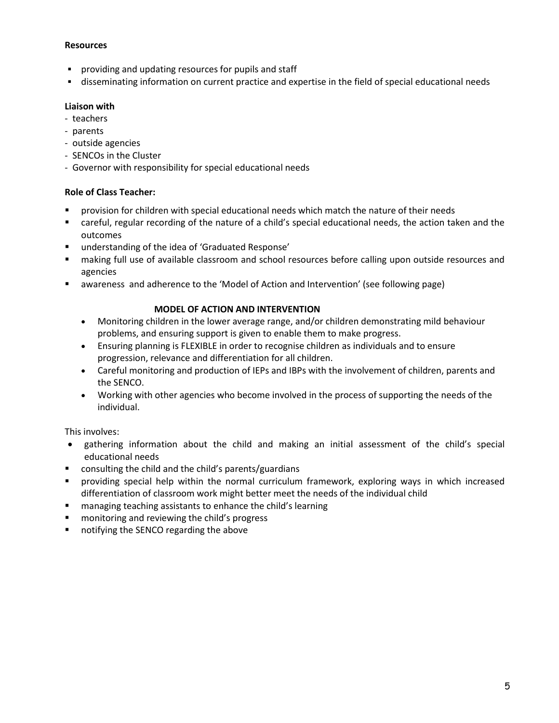### **Resources**

- **Peroviding and updating resources for pupils and staff**
- disseminating information on current practice and expertise in the field of special educational needs

### **Liaison with**

- teachers
- parents
- outside agencies
- SENCOs in the Cluster
- Governor with responsibility for special educational needs

### **Role of Class Teacher:**

- provision for children with special educational needs which match the nature of their needs
- careful, regular recording of the nature of a child's special educational needs, the action taken and the outcomes
- understanding of the idea of 'Graduated Response'
- making full use of available classroom and school resources before calling upon outside resources and agencies
- awareness and adherence to the 'Model of Action and Intervention' (see following page)

### **MODEL OF ACTION AND INTERVENTION**

- Monitoring children in the lower average range, and/or children demonstrating mild behaviour problems, and ensuring support is given to enable them to make progress.
- Ensuring planning is FLEXIBLE in order to recognise children as individuals and to ensure progression, relevance and differentiation for all children.
- Careful monitoring and production of IEPs and IBPs with the involvement of children, parents and the SENCO.
- Working with other agencies who become involved in the process of supporting the needs of the individual.

This involves:

- gathering information about the child and making an initial assessment of the child's special educational needs
- consulting the child and the child's parents/guardians
- providing special help within the normal curriculum framework, exploring ways in which increased differentiation of classroom work might better meet the needs of the individual child
- managing teaching assistants to enhance the child's learning
- **n** monitoring and reviewing the child's progress
- notifying the SENCO regarding the above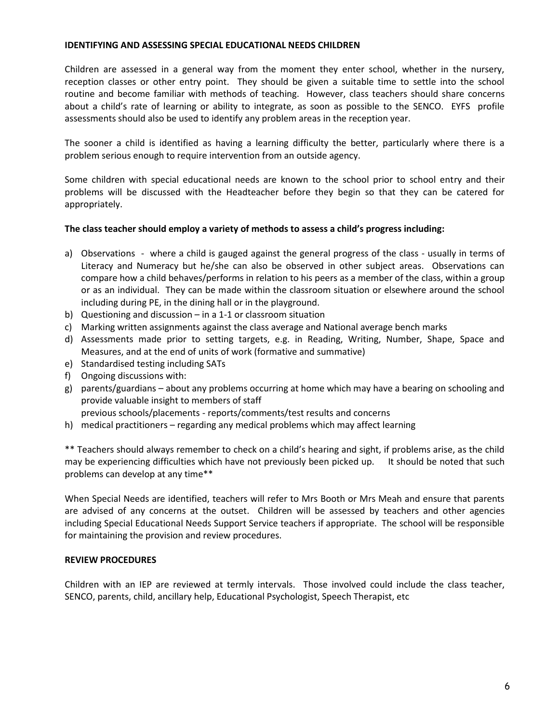#### **IDENTIFYING AND ASSESSING SPECIAL EDUCATIONAL NEEDS CHILDREN**

Children are assessed in a general way from the moment they enter school, whether in the nursery, reception classes or other entry point. They should be given a suitable time to settle into the school routine and become familiar with methods of teaching. However, class teachers should share concerns about a child's rate of learning or ability to integrate, as soon as possible to the SENCO. EYFS profile assessments should also be used to identify any problem areas in the reception year.

The sooner a child is identified as having a learning difficulty the better, particularly where there is a problem serious enough to require intervention from an outside agency.

Some children with special educational needs are known to the school prior to school entry and their problems will be discussed with the Headteacher before they begin so that they can be catered for appropriately.

### **The class teacher should employ a variety of methods to assess a child's progress including:**

- a) Observations where a child is gauged against the general progress of the class usually in terms of Literacy and Numeracy but he/she can also be observed in other subject areas. Observations can compare how a child behaves/performs in relation to his peers as a member of the class, within a group or as an individual. They can be made within the classroom situation or elsewhere around the school including during PE, in the dining hall or in the playground.
- b) Questioning and discussion in a 1-1 or classroom situation
- c) Marking written assignments against the class average and National average bench marks
- d) Assessments made prior to setting targets, e.g. in Reading, Writing, Number, Shape, Space and Measures, and at the end of units of work (formative and summative)
- e) Standardised testing including SATs
- f) Ongoing discussions with:
- g) parents/guardians about any problems occurring at home which may have a bearing on schooling and provide valuable insight to members of staff

previous schools/placements - reports/comments/test results and concerns

h) medical practitioners – regarding any medical problems which may affect learning

\*\* Teachers should always remember to check on a child's hearing and sight, if problems arise, as the child may be experiencing difficulties which have not previously been picked up. It should be noted that such problems can develop at any time\*\*

When Special Needs are identified, teachers will refer to Mrs Booth or Mrs Meah and ensure that parents are advised of any concerns at the outset. Children will be assessed by teachers and other agencies including Special Educational Needs Support Service teachers if appropriate. The school will be responsible for maintaining the provision and review procedures.

### **REVIEW PROCEDURES**

Children with an IEP are reviewed at termly intervals. Those involved could include the class teacher, SENCO, parents, child, ancillary help, Educational Psychologist, Speech Therapist, etc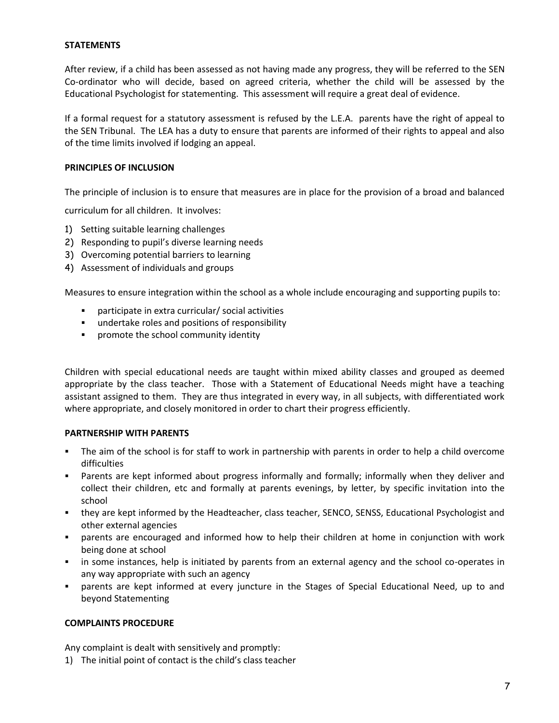### **STATEMENTS**

After review, if a child has been assessed as not having made any progress, they will be referred to the SEN Co-ordinator who will decide, based on agreed criteria, whether the child will be assessed by the Educational Psychologist for statementing. This assessment will require a great deal of evidence.

If a formal request for a statutory assessment is refused by the L.E.A. parents have the right of appeal to the SEN Tribunal. The LEA has a duty to ensure that parents are informed of their rights to appeal and also of the time limits involved if lodging an appeal.

#### **PRINCIPLES OF INCLUSION**

The principle of inclusion is to ensure that measures are in place for the provision of a broad and balanced

curriculum for all children. It involves:

- 1) Setting suitable learning challenges
- 2) Responding to pupil's diverse learning needs
- 3) Overcoming potential barriers to learning
- 4) Assessment of individuals and groups

Measures to ensure integration within the school as a whole include encouraging and supporting pupils to:

- participate in extra curricular/ social activities
- undertake roles and positions of responsibility
- **•** promote the school community identity

Children with special educational needs are taught within mixed ability classes and grouped as deemed appropriate by the class teacher. Those with a Statement of Educational Needs might have a teaching assistant assigned to them. They are thus integrated in every way, in all subjects, with differentiated work where appropriate, and closely monitored in order to chart their progress efficiently.

#### **PARTNERSHIP WITH PARENTS**

- The aim of the school is for staff to work in partnership with parents in order to help a child overcome difficulties
- Parents are kept informed about progress informally and formally; informally when they deliver and collect their children, etc and formally at parents evenings, by letter, by specific invitation into the school
- they are kept informed by the Headteacher, class teacher, SENCO, SENSS, Educational Psychologist and other external agencies
- parents are encouraged and informed how to help their children at home in conjunction with work being done at school
- in some instances, help is initiated by parents from an external agency and the school co-operates in any way appropriate with such an agency
- parents are kept informed at every juncture in the Stages of Special Educational Need, up to and beyond Statementing

#### **COMPLAINTS PROCEDURE**

Any complaint is dealt with sensitively and promptly:

1) The initial point of contact is the child's class teacher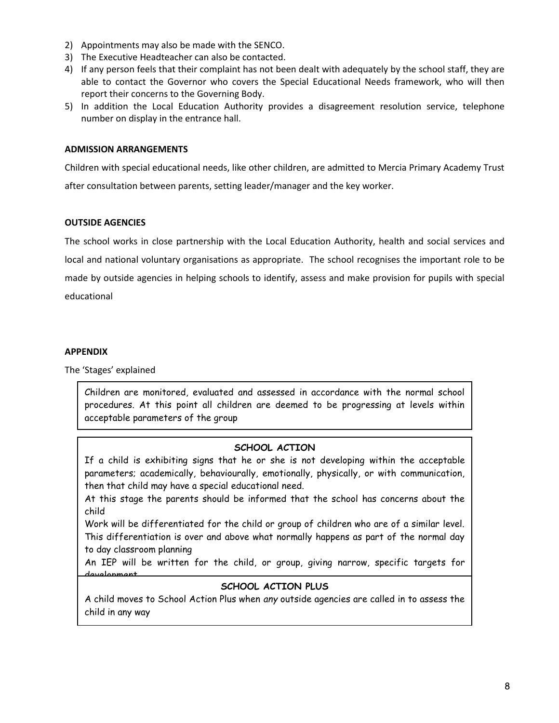- 2) Appointments may also be made with the SENCO.
- 3) The Executive Headteacher can also be contacted.
- 4) If any person feels that their complaint has not been dealt with adequately by the school staff, they are able to contact the Governor who covers the Special Educational Needs framework, who will then report their concerns to the Governing Body.
- 5) In addition the Local Education Authority provides a disagreement resolution service, telephone number on display in the entrance hall.

### **ADMISSION ARRANGEMENTS**

Children with special educational needs, like other children, are admitted to Mercia Primary Academy Trust after consultation between parents, setting leader/manager and the key worker.

### **OUTSIDE AGENCIES**

The school works in close partnership with the Local Education Authority, health and social services and local and national voluntary organisations as appropriate. The school recognises the important role to be made by outside agencies in helping schools to identify, assess and make provision for pupils with special educational

#### **APPENDIX**

The 'Stages' explained

Children are monitored, evaluated and assessed in accordance with the normal school procedures. At this point all children are deemed to be progressing at levels within acceptable parameters of the group

### **SCHOOL ACTION**

If a child is exhibiting signs that he or she is not developing within the acceptable parameters; academically, behaviourally, emotionally, physically, or with communication, then that child may have a special educational need.

At this stage the parents should be informed that the school has concerns about the child

Work will be differentiated for the child or group of children who are of a similar level. This differentiation is over and above what normally happens as part of the normal day to day classroom planning

An IEP will be written for the child, or group, giving narrow, specific targets for development

## **SCHOOL ACTION PLUS**

A child moves to School Action Plus when *any* outside agencies are called in to assess the child in any way